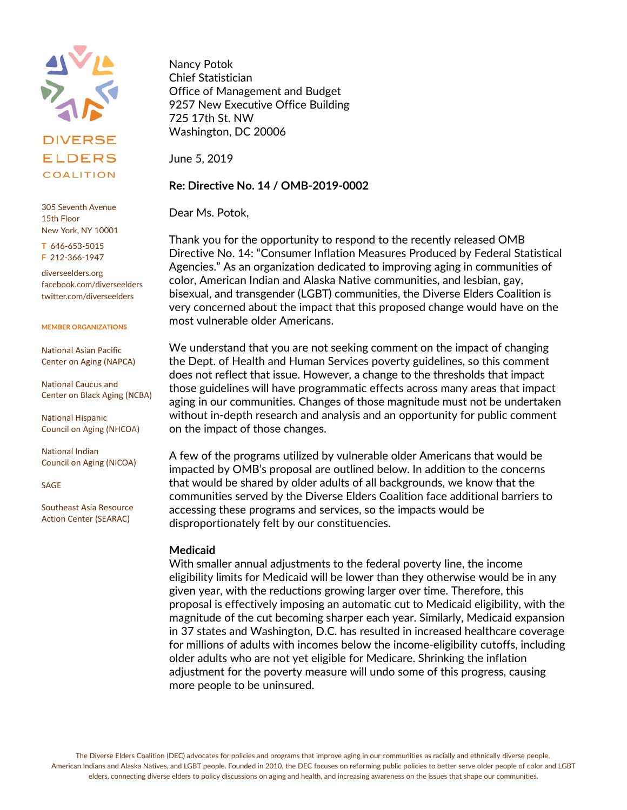

305 Seventh Avenue 15th Floor New York, NY 10001

**T** 646-653-5015 **F** 212-366-1947

diverseelders.org facebook.com/diverseelders twitter.com/diverseelders

#### **MEMBER ORGANIZATIONS**

National Asian Pacific Center on Aging (NAPCA)

National Caucus and Center on Black Aging (NCBA)

National Hispanic Council on Aging (NHCOA)

National Indian Council on Aging (NICOA)

SAGE

Southeast Asia Resource Action Center (SEARAC)

Nancy Potok Chief Statistician Office of Management and Budget 9257 New Executive Office Building 725 17th St. NW Washington, DC 20006

June 5, 2019

### **Re: Directive No. 14 / OMB-2019-0002**

Dear Ms. Potok,

Thank you for the opportunity to respond to the recently released OMB Directive No. 14: "Consumer Inflation Measures Produced by Federal Statistical Agencies." As an organization dedicated to improving aging in communities of color, American Indian and Alaska Native communities, and lesbian, gay, bisexual, and transgender (LGBT) communities, the Diverse Elders Coalition is very concerned about the impact that this proposed change would have on the most vulnerable older Americans.

We understand that you are not seeking comment on the impact of changing the Dept. of Health and Human Services poverty guidelines, so this comment does not reflect that issue. However, a change to the thresholds that impact those guidelines will have programmatic effects across many areas that impact aging in our communities. Changes of those magnitude must not be undertaken without in-depth research and analysis and an opportunity for public comment on the impact of those changes.

A few of the programs utilized by vulnerable older Americans that would be impacted by OMB's proposal are outlined below. In addition to the concerns that would be shared by older adults of all backgrounds, we know that the communities served by the Diverse Elders Coalition face additional barriers to accessing these programs and services, so the impacts would be disproportionately felt by our constituencies.

### **Medicaid**

With smaller annual adjustments to the federal poverty line, the income eligibility limits for Medicaid will be lower than they otherwise would be in any given year, with the reductions growing larger over time. Therefore, this proposal is effectively imposing an automatic cut to Medicaid eligibility, with the magnitude of the cut becoming sharper each year. Similarly, Medicaid expansion in 37 states and Washington, D.C. has resulted in increased healthcare coverage for millions of adults with incomes below the income-eligibility cutoffs, including older adults who are not yet eligible for Medicare. Shrinking the inflation adjustment for the poverty measure will undo some of this progress, causing more people to be uninsured.

The Diverse Elders Coalition (DEC) advocates for policies and programs that improve aging in our communities as racially and ethnically diverse people, American Indians and Alaska Natives, and LGBT people. Founded in 2010, the DEC focuses on reforming public policies to better serve older people of color and LGBT elders, connecting diverse elders to policy discussions on aging and health, and increasing awareness on the issues that shape our communities.